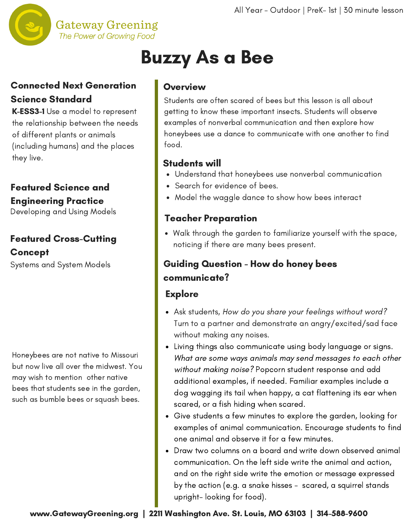

# Buzzy As a Bee

## Connected Next Generation Science Standard

K-ESS3-1 Use a model to represent the relationship between the needs of different plants or animals (including humans) and the places they live.

# Featured Science and Engineering Practice

Developing and Using Models

# Featured Cross-Cutting Concept

Systems and System Models

Honeybees are not native to Missouri but now live all over the midwest. You may wish to mention other native bees that students see in the garden, such as bumble bees or squash bees.

### Overview

Students are often scared of bees but this lesson is all about getting to know these important insects. Students will observe examples of nonverbal [communication](http://www.gatewaygreening.org/wp-content/uploads/2018/08/Gateway-Greening-Planting-Calendar-2018.pdf) and then explore how honeybees use a dance to communicate with one another to find food.

## Students will

- Understand that honeybees use nonverbal communication
- Search for evidence of bees.
- Model the waggle dance to show how bees interact

## Teacher Preparation

Walk through the garden to familiarize yourself with the space, noticing if there are many bees present.

# Guiding Question - How do honey bees communicate?

#### **Explore**

- Ask students, How do you share your feelings without word? Turn to a partner and demonstrate an angry/excited/sad face without making any noises.
- Living things also communicate using body language or signs. What are some ways animals may send messages to each other without making noise? Popcorn student response and add additional examples, if needed. Familiar examples include a dog wagging its tail when happy, a cat flattening its ear when scared, or a fish hiding when scared.
- Give students a few minutes to explore the garden, looking for examples of animal communication. Encourage students to find one animal and observe it for a few minutes.
- Draw two columns on a board and write down observed animal communication. On the left side write the animal and action, and on the right side write the emotion or message expressed by the action (e.g. a snake hisses - scared, a squirrel stands upright- looking for food).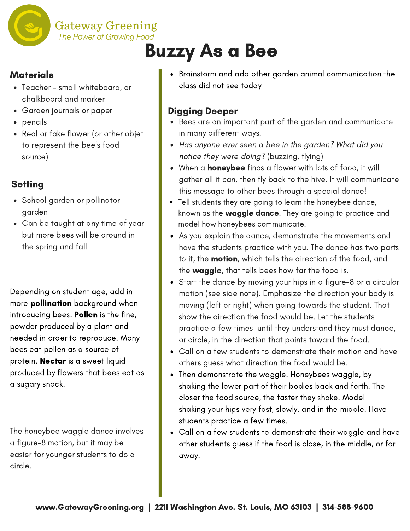

**Gateway Greening** 

# Buzzy As a Bee

### **Materials**

- Teacher small whiteboard, or chalkboard and marker
- Garden journals or paper
- pencils
- Real or fake flower (or other objet to represent the bee's food source)

# **Setting**

- School garden or pollinator garden
- Can be taught at any time of year but more bees will be around in the spring and fall

Depending on student age, add in more **pollination** background when introducing bees. Pollen is the fine, powder produced by a plant and needed in order to reproduce. Many bees eat pollen as a source of protein. **Nectar** is a sweet liquid produced by flowers that bees eat as a sugary snack.

The honeybee waggle dance involves a figure-8 motion, but it may be easier for younger students to do a circle.

Brainstorm and add other garden animal communication the class did not see today

# Digging Deeper

- Bees are an important part of the garden and communicate in many different ways.
- Has anyone ever seen a bee in the garden? What did you notice they were doing? (buzzing, flying)
- When a **honeybee** finds a flower with lots of food, it will gather all it can, then fly back to the hive. It will communicate this message to other bees through a special dance!
- Tell students they are going to learn the honeybee dance, known as the waggle dance. They are going to practice and model how honeybees communicate.
- As you explain the dance, demonstrate the movements and have the students practice with you. The dance has two parts to it, the **motion**, which tells the direction of the food, and the waggle, that tells bees how far the food is.
- Start the dance by moving your hips in a figure-8 or a circular motion (see side note). Emphasize the direction your body is moving (left or right) when going towards the student. That show the direction the food would be. Let the students practice a few times until they understand they must dance, or circle, in the direction that points toward the food.
- Call on a few students to demonstrate their motion and have others guess what direction the food would be.
- Then demonstrate the waggle. Honeybees waggle, by shaking the lower part of their bodies back and forth. The closer the food source, the faster they shake. Model shaking your hips very fast, slowly, and in the middle. Have students practice a few times.
- Call on a few students to demonstrate their waggle and have other students guess if the food is close, in the middle, or far away.